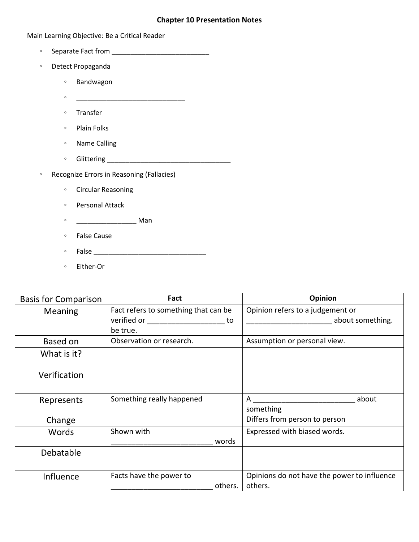## **Chapter 10 Presentation Notes**

## Main Learning Objective: Be a Critical Reader

- Separate Fact from \_\_\_\_\_\_\_\_\_\_\_\_\_\_\_\_\_\_\_\_\_\_\_\_\_\_
- Detect Propaganda
	- Bandwagon
	- Transfer
	- Plain Folks
	- Name Calling
	- Glittering \_\_\_\_\_\_\_\_\_\_\_\_\_\_\_\_\_\_\_\_\_\_\_\_\_\_\_\_\_\_\_\_\_
- Recognize Errors in Reasoning (Fallacies)

 $\bullet$ 

- Circular Reasoning
- Personal Attack
- \_\_\_\_\_\_\_\_\_\_\_\_\_\_\_\_ Man
- False Cause
- False \_\_\_\_\_\_\_\_\_\_\_\_\_\_\_\_\_\_\_\_\_\_\_\_\_\_\_\_\_\_
- Either-Or

| <b>Basis for Comparison</b> | Fact                                                                                                                 | Opinion                                     |
|-----------------------------|----------------------------------------------------------------------------------------------------------------------|---------------------------------------------|
| <b>Meaning</b>              | Fact refers to something that can be                                                                                 | Opinion refers to a judgement or            |
|                             | verified or <b>contact to the contact of the contact of the contact of the contact of the contact of the contact</b> | about something.<br>to                      |
|                             | be true.                                                                                                             |                                             |
| Based on                    | Observation or research.                                                                                             | Assumption or personal view.                |
| What is it?                 |                                                                                                                      |                                             |
| Verification                |                                                                                                                      |                                             |
| Represents                  | Something really happened                                                                                            | about<br>A                                  |
|                             |                                                                                                                      | something                                   |
| Change                      |                                                                                                                      | Differs from person to person               |
| Words                       | Shown with                                                                                                           | Expressed with biased words.                |
|                             | words                                                                                                                |                                             |
| <b>Debatable</b>            |                                                                                                                      |                                             |
|                             |                                                                                                                      |                                             |
| Influence                   | Facts have the power to                                                                                              | Opinions do not have the power to influence |
|                             |                                                                                                                      | others.<br>others.                          |